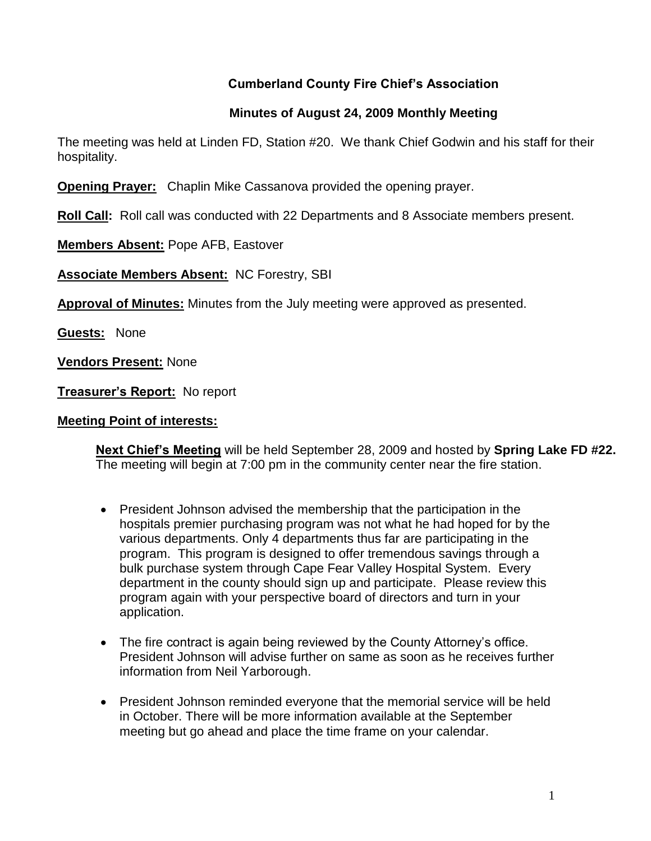# **Cumberland County Fire Chief's Association**

## **Minutes of August 24, 2009 Monthly Meeting**

The meeting was held at Linden FD, Station #20. We thank Chief Godwin and his staff for their hospitality.

**Opening Prayer:** Chaplin Mike Cassanova provided the opening prayer.

**Roll Call:** Roll call was conducted with 22 Departments and 8 Associate members present.

**Members Absent:** Pope AFB, Eastover

**Associate Members Absent:** NC Forestry, SBI

**Approval of Minutes:** Minutes from the July meeting were approved as presented.

**Guests:** None

**Vendors Present:** None

**Treasurer's Report:** No report

#### **Meeting Point of interests:**

**Next Chief's Meeting** will be held September 28, 2009 and hosted by **Spring Lake FD #22.**  The meeting will begin at 7:00 pm in the community center near the fire station.

- President Johnson advised the membership that the participation in the hospitals premier purchasing program was not what he had hoped for by the various departments. Only 4 departments thus far are participating in the program. This program is designed to offer tremendous savings through a bulk purchase system through Cape Fear Valley Hospital System. Every department in the county should sign up and participate. Please review this program again with your perspective board of directors and turn in your application.
- The fire contract is again being reviewed by the County Attorney's office. President Johnson will advise further on same as soon as he receives further information from Neil Yarborough.
- President Johnson reminded everyone that the memorial service will be held in October. There will be more information available at the September meeting but go ahead and place the time frame on your calendar.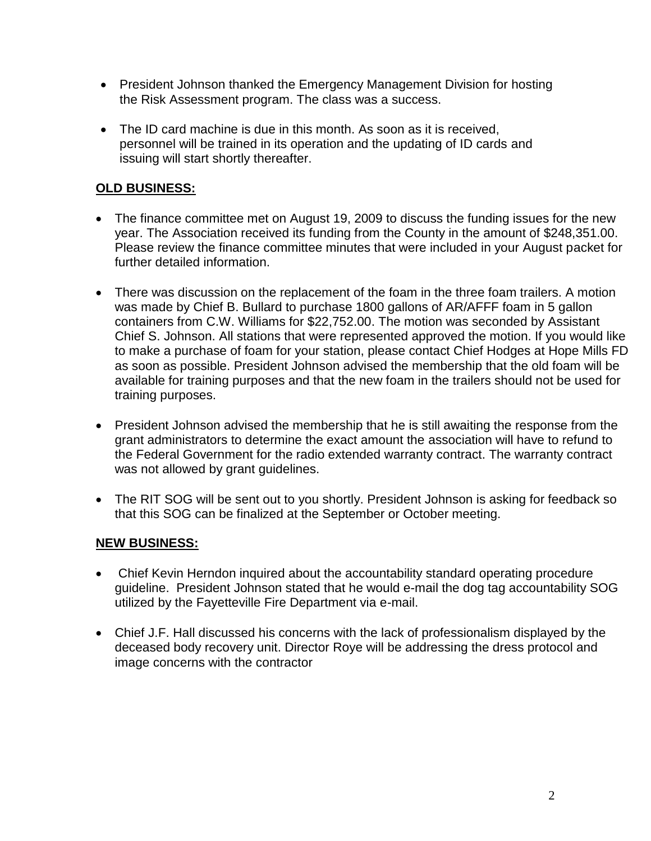- President Johnson thanked the Emergency Management Division for hosting the Risk Assessment program. The class was a success.
- The ID card machine is due in this month. As soon as it is received, personnel will be trained in its operation and the updating of ID cards and issuing will start shortly thereafter.

# **OLD BUSINESS:**

- The finance committee met on August 19, 2009 to discuss the funding issues for the new year. The Association received its funding from the County in the amount of \$248,351.00. Please review the finance committee minutes that were included in your August packet for further detailed information.
- There was discussion on the replacement of the foam in the three foam trailers. A motion was made by Chief B. Bullard to purchase 1800 gallons of AR/AFFF foam in 5 gallon containers from C.W. Williams for \$22,752.00. The motion was seconded by Assistant Chief S. Johnson. All stations that were represented approved the motion. If you would like to make a purchase of foam for your station, please contact Chief Hodges at Hope Mills FD as soon as possible. President Johnson advised the membership that the old foam will be available for training purposes and that the new foam in the trailers should not be used for training purposes.
- President Johnson advised the membership that he is still awaiting the response from the grant administrators to determine the exact amount the association will have to refund to the Federal Government for the radio extended warranty contract. The warranty contract was not allowed by grant guidelines.
- The RIT SOG will be sent out to you shortly. President Johnson is asking for feedback so that this SOG can be finalized at the September or October meeting.

## **NEW BUSINESS:**

- Chief Kevin Herndon inquired about the accountability standard operating procedure guideline. President Johnson stated that he would e-mail the dog tag accountability SOG utilized by the Fayetteville Fire Department via e-mail.
- Chief J.F. Hall discussed his concerns with the lack of professionalism displayed by the deceased body recovery unit. Director Roye will be addressing the dress protocol and image concerns with the contractor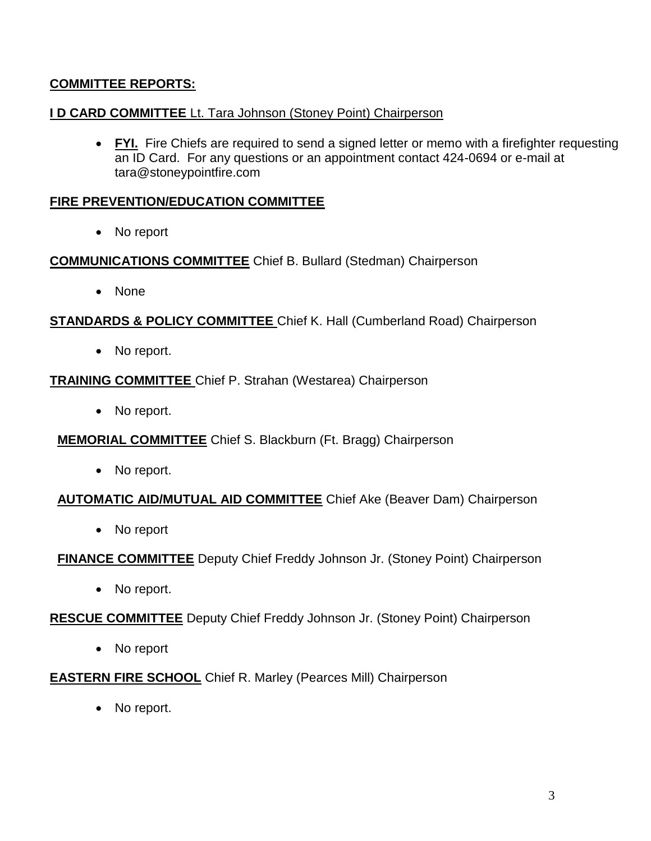## **COMMITTEE REPORTS:**

#### **I D CARD COMMITTEE** Lt. Tara Johnson (Stoney Point) Chairperson

 **FYI.** Fire Chiefs are required to send a signed letter or memo with a firefighter requesting an ID Card. For any questions or an appointment contact 424-0694 or e-mail at [tara@stoneypointfire.com](mailto:tara@stoneypointfire.com)

#### **FIRE PREVENTION/EDUCATION COMMITTEE**

• No report

#### **COMMUNICATIONS COMMITTEE** Chief B. Bullard (Stedman) Chairperson

• None

**STANDARDS & POLICY COMMITTEE** Chief K. Hall (Cumberland Road) Chairperson

• No report.

#### **TRAINING COMMITTEE** Chief P. Strahan (Westarea) Chairperson

• No report.

## **MEMORIAL COMMITTEE** Chief S. Blackburn (Ft. Bragg) Chairperson

• No report.

## **AUTOMATIC AID/MUTUAL AID COMMITTEE** Chief Ake (Beaver Dam) Chairperson

• No report

**FINANCE COMMITTEE** Deputy Chief Freddy Johnson Jr. (Stoney Point) Chairperson

• No report.

## **RESCUE COMMITTEE** Deputy Chief Freddy Johnson Jr. (Stoney Point) Chairperson

• No report

## **EASTERN FIRE SCHOOL** Chief R. Marley (Pearces Mill) Chairperson

• No report.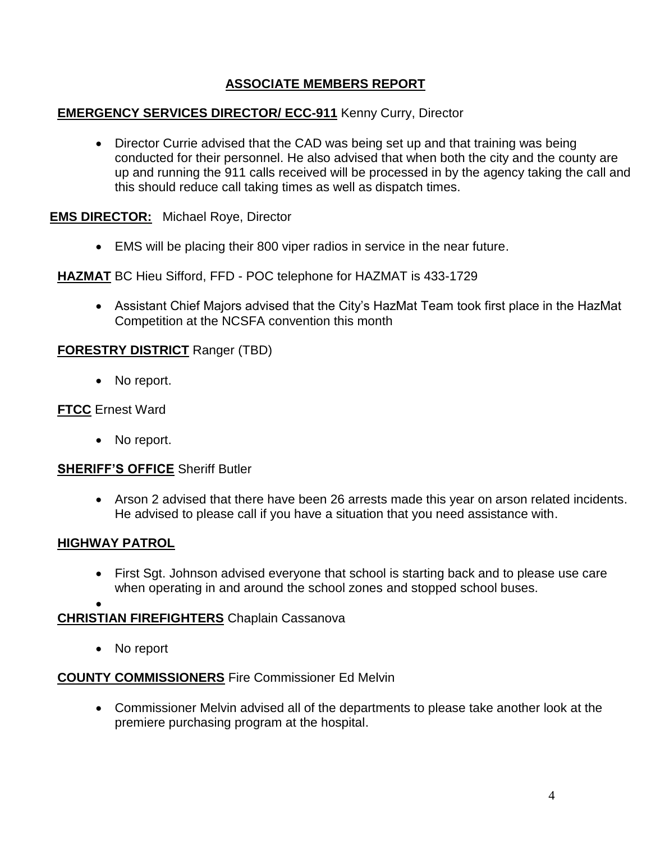# **ASSOCIATE MEMBERS REPORT**

## **EMERGENCY SERVICES DIRECTOR/ ECC-911** Kenny Curry, Director

• Director Currie advised that the CAD was being set up and that training was being conducted for their personnel. He also advised that when both the city and the county are up and running the 911 calls received will be processed in by the agency taking the call and this should reduce call taking times as well as dispatch times.

#### **EMS DIRECTOR:** Michael Roye, Director

EMS will be placing their 800 viper radios in service in the near future.

**HAZMAT** BC Hieu Sifford, FFD - POC telephone for HAZMAT is 433-1729

 Assistant Chief Majors advised that the City's HazMat Team took first place in the HazMat Competition at the NCSFA convention this month

#### **FORESTRY DISTRICT** Ranger (TBD)

• No report.

#### **FTCC** Ernest Ward

• No report.

#### **SHERIFF'S OFFICE** Sheriff Butler

 Arson 2 advised that there have been 26 arrests made this year on arson related incidents. He advised to please call if you have a situation that you need assistance with.

## **HIGHWAY PATROL**

 First Sgt. Johnson advised everyone that school is starting back and to please use care when operating in and around the school zones and stopped school buses.

 $\bullet$ 

## **CHRISTIAN FIREFIGHTERS** Chaplain Cassanova

• No report

## **COUNTY COMMISSIONERS** Fire Commissioner Ed Melvin

 Commissioner Melvin advised all of the departments to please take another look at the premiere purchasing program at the hospital.